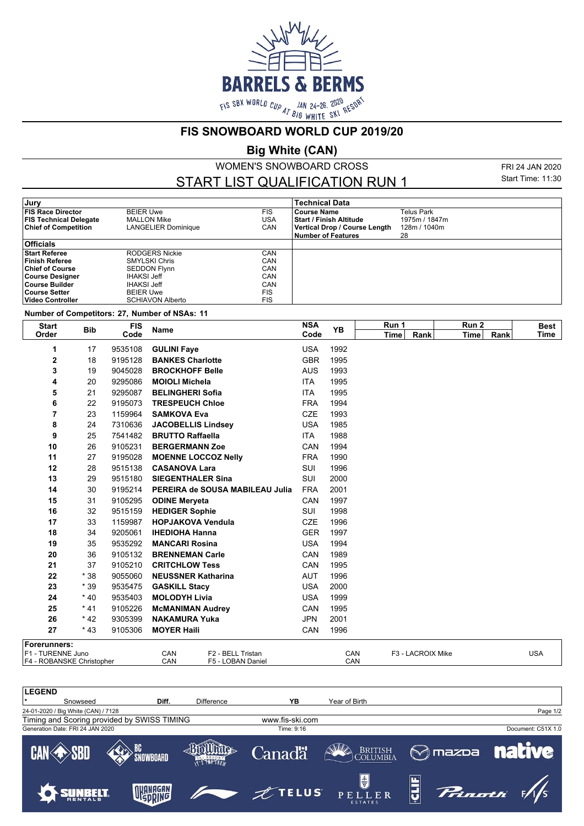

**FIS SNOWBOARD WORLD CUP 2019/20**

**Big White (CAN)**

WOMEN'S SNOWBOARD CROSS

START LIST QUALIFICATION RUN 1

FRI 24 JAN 2020 Start Time: 11:30

| Jury                          |                                   |            | <b>Technical Data</b>          |               |  |  |  |
|-------------------------------|-----------------------------------|------------|--------------------------------|---------------|--|--|--|
| <b>FIS Race Director</b>      | <b>BEIER Uwe</b>                  | <b>FIS</b> | <b>Course Name</b>             | Telus Park    |  |  |  |
| <b>FIS Technical Delegate</b> | USA<br>MALLON Mike                |            | <b>Start / Finish Altitude</b> | 1975m / 1847m |  |  |  |
| <b>Chief of Competition</b>   | CAN<br><b>LANGELIER Dominique</b> |            | Vertical Drop / Course Length  | 128m / 1040m  |  |  |  |
|                               |                                   |            | Number of Features             | 28            |  |  |  |
| <b>Officials</b>              |                                   |            |                                |               |  |  |  |
| <b>Start Referee</b>          | RODGERS Nickie                    | CAN        |                                |               |  |  |  |
| <b>Finish Referee</b>         | <b>SMYLSKI Chris</b>              | CAN        |                                |               |  |  |  |
| <b>Chief of Course</b>        | <b>SEDDON Flynn</b>               | CAN        |                                |               |  |  |  |
| Course Designer               | <b>IHAKSI Jeff</b>                | CAN        |                                |               |  |  |  |
| ∣Course Builder               | <b>IHAKSI Jeff</b>                | CAN        |                                |               |  |  |  |
| ∣Course Setter                | <b>BEIER Uwe</b>                  | FIS        |                                |               |  |  |  |
| ∣Video Controller             | <b>SCHIAVON Alberto</b>           | FIS        |                                |               |  |  |  |

**Number of Competitors: 27, Number of NSAs: 11**

| <b>Start</b>              | <b>Bib</b> | <b>FIS</b> | <b>Name</b>                |                                 | <b>NSA</b> | <b>YB</b>   | Run 1 |                   | Run 2 |      | <b>Best</b> |
|---------------------------|------------|------------|----------------------------|---------------------------------|------------|-------------|-------|-------------------|-------|------|-------------|
| Order<br>Code             |            |            |                            | Code                            |            | <b>Time</b> | Rank  | Time              | Rank  | Time |             |
| 1                         | 17         | 9535108    | <b>GULINI Faye</b>         |                                 | <b>USA</b> | 1992        |       |                   |       |      |             |
| 2                         | 18         | 9195128    | <b>BANKES Charlotte</b>    |                                 | <b>GBR</b> | 1995        |       |                   |       |      |             |
| 3                         | 19         | 9045028    | <b>BROCKHOFF Belle</b>     |                                 | <b>AUS</b> | 1993        |       |                   |       |      |             |
| 4                         | 20         | 9295086    | <b>MOIOLI Michela</b>      |                                 | <b>ITA</b> | 1995        |       |                   |       |      |             |
| 5                         | 21         | 9295087    | <b>BELINGHERI Sofia</b>    |                                 | ITA        | 1995        |       |                   |       |      |             |
| 6                         | 22         | 9195073    | <b>TRESPEUCH Chloe</b>     |                                 | <b>FRA</b> | 1994        |       |                   |       |      |             |
| 7                         | 23         | 1159964    | <b>SAMKOVA Eva</b>         |                                 | <b>CZE</b> | 1993        |       |                   |       |      |             |
| 8                         | 24         | 7310636    | <b>JACOBELLIS Lindsey</b>  |                                 | <b>USA</b> | 1985        |       |                   |       |      |             |
| 9                         | 25         | 7541482    | <b>BRUTTO Raffaella</b>    |                                 | <b>ITA</b> | 1988        |       |                   |       |      |             |
| 10                        | 26         | 9105231    | <b>BERGERMANN Zoe</b>      |                                 | CAN        | 1994        |       |                   |       |      |             |
| 11                        | 27         | 9195028    | <b>MOENNE LOCCOZ Nelly</b> |                                 | <b>FRA</b> | 1990        |       |                   |       |      |             |
| 12                        | 28         | 9515138    | <b>CASANOVA Lara</b>       |                                 | SUI        | 1996        |       |                   |       |      |             |
| 13                        | 29         | 9515180    | <b>SIEGENTHALER Sina</b>   |                                 | SUI        | 2000        |       |                   |       |      |             |
| 14                        | 30         | 9195214    |                            | PEREIRA de SOUSA MABILEAU Julia | <b>FRA</b> | 2001        |       |                   |       |      |             |
| 15                        | 31         | 9105295    | <b>ODINE Meryeta</b>       |                                 | CAN        | 1997        |       |                   |       |      |             |
| 16                        | 32         | 9515159    | <b>HEDIGER Sophie</b>      |                                 | SUI        | 1998        |       |                   |       |      |             |
| 17                        | 33         | 1159987    | <b>HOPJAKOVA Vendula</b>   |                                 | <b>CZE</b> | 1996        |       |                   |       |      |             |
| 18                        | 34         | 9205061    | <b>IHEDIOHA Hanna</b>      |                                 | <b>GER</b> | 1997        |       |                   |       |      |             |
| 19                        | 35         | 9535292    | <b>MANCARI Rosina</b>      |                                 | <b>USA</b> | 1994        |       |                   |       |      |             |
| 20                        | 36         | 9105132    | <b>BRENNEMAN Carle</b>     |                                 | CAN        | 1989        |       |                   |       |      |             |
| 21                        | 37         | 9105210    | <b>CRITCHLOW Tess</b>      |                                 | CAN        | 1995        |       |                   |       |      |             |
| 22                        | $*38$      | 9055060    | <b>NEUSSNER Katharina</b>  |                                 | <b>AUT</b> | 1996        |       |                   |       |      |             |
| 23                        | $*39$      | 9535475    | <b>GASKILL Stacy</b>       |                                 | <b>USA</b> | 2000        |       |                   |       |      |             |
| 24                        | $*40$      | 9535403    | <b>MOLODYH Livia</b>       |                                 | <b>USA</b> | 1999        |       |                   |       |      |             |
| 25                        | $*41$      | 9105226    | <b>McMANIMAN Audrey</b>    |                                 | CAN        | 1995        |       |                   |       |      |             |
| 26                        | $*42$      | 9305399    | <b>NAKAMURA Yuka</b>       |                                 | <b>JPN</b> | 2001        |       |                   |       |      |             |
| 27                        | $*43$      | 9105306    | <b>MOYER Haili</b>         |                                 | CAN        | 1996        |       |                   |       |      |             |
| Forerunners:              |            |            |                            |                                 |            |             |       |                   |       |      |             |
| F1 - TURENNE Juno         |            |            | CAN                        | F2 - BELL Tristan               |            | CAN         |       | F3 - LACROIX Mike |       |      | <b>USA</b>  |
| F4 - ROBANSKE Christopher |            | CAN        | F5 - LOBAN Daniel          |                                 | CAN        |             |       |                   |       |      |             |